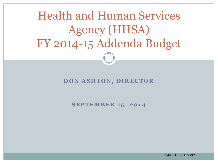Health and Human Services Agency (HHSA) FY 2014-15 Addenda Budget

#### **DON ASHTON, DIRECTOR**

**SEPTEMBER 15, 2014** 

14-0219 6H 1 of 9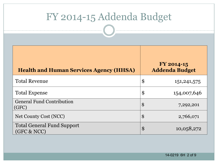# FY 2014-15 Addenda Budget

| <b>Health and Human Services Agency (HHSA)</b>   |                            | $FY$ 2014-15<br><b>Addenda Budget</b> |
|--------------------------------------------------|----------------------------|---------------------------------------|
| <b>Total Revenue</b>                             | \$                         | 151, 241, 575                         |
| <b>Total Expense</b>                             | $\boldsymbol{\$}$          | 154,007,646                           |
| <b>General Fund Contribution</b><br>(GFC)        | $\boldsymbol{\$}$          | 7,292,201                             |
| Net County Cost (NCC)                            | $\boldsymbol{\$}$          | 2,766,071                             |
| <b>Total General Fund Support</b><br>(GFC & NCC) | $\boldsymbol{\mathcal{S}}$ | 10,058,272                            |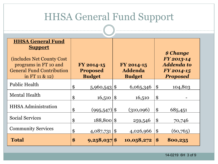| <b>HHSA General Fund Support</b>                                                                                                                                  |    |                                                |                   |                                               |                            |                                                                               |  |  |
|-------------------------------------------------------------------------------------------------------------------------------------------------------------------|----|------------------------------------------------|-------------------|-----------------------------------------------|----------------------------|-------------------------------------------------------------------------------|--|--|
| <b>HHSA General Fund</b><br><b>Support</b><br><b>(includes Net County Cost)</b><br>programs in FT 10 and<br><b>General Fund Contribution</b><br>in FT 11 $\&$ 12) |    | FY 2014-15<br><b>Proposed</b><br><b>Budget</b> |                   | FY 2014-15<br><b>Addenda</b><br><b>Budget</b> |                            | \$ Change<br>FY 2013-14<br><b>Addenda to</b><br>FY 2014-15<br><b>Proposed</b> |  |  |
| <b>Public Health</b>                                                                                                                                              | \$ | $5,960,543$ \$                                 |                   | 6,065,346                                     | $\boldsymbol{\mathsf{\$}}$ | 104,803                                                                       |  |  |
| <b>Mental Health</b>                                                                                                                                              | \$ | 16,510                                         | $\boldsymbol{\$}$ | 16,510                                        | \$                         |                                                                               |  |  |
| <b>HHSA</b> Administration                                                                                                                                        | \$ | $(995, 547)$ \$                                |                   | (310,096)                                     | \$                         | 685,451                                                                       |  |  |
| <b>Social Services</b>                                                                                                                                            | \$ | $188,800$ \$                                   |                   | 259,546                                       | \$                         | 70,746                                                                        |  |  |
| <b>Community Services</b>                                                                                                                                         | \$ | $4,087,731$ \$                                 |                   | 4,026,966                                     | $\boldsymbol{\$}$          | (60, 765)                                                                     |  |  |
| <b>Total</b>                                                                                                                                                      | \$ | $9,258,037$ \$                                 |                   | 10,058,272                                    | $\$\$                      | 800,235                                                                       |  |  |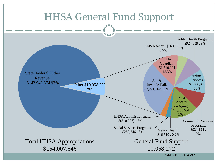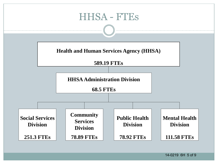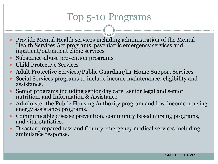## Top 5-10 Programs

- Provide Mental Health services including administration of the Mental Health Services Act programs, psychiatric emergency services and inpatient/outpatient clinic services
- Substance-abuse prevention programs
- Child Protective Services
- Adult Protective Services/Public Guardian/In-Home Support Services
- Social Services programs to include income maintenance, eligibility and assistance.
- Senior programs including senior day care, senior legal and senior nutrition, and Information & Assistance
- Administer the Public Housing Authority program and low-income housing energy assistance programs.
- Communicable disease prevention, community based nursing programs, and vital statistics.
- Disaster preparedness and County emergency medical services including ambulance response.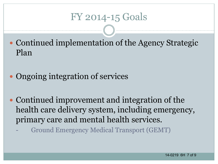### FY 2014-15 Goals

- Continued implementation of the Agency Strategic Plan
- Ongoing integration of services
- Continued improvement and integration of the health care delivery system, including emergency, primary care and mental health services.
	- Ground Emergency Medical Transport (GEMT)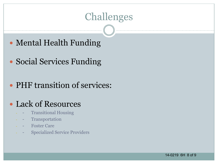### Challenges

- Mental Health Funding
- Social Services Funding
- PHF transition of services:

#### Lack of Resources

- **Transitional Housing**
- **Transportation**
- **Foster Care**
- **Specialized Service Providers**